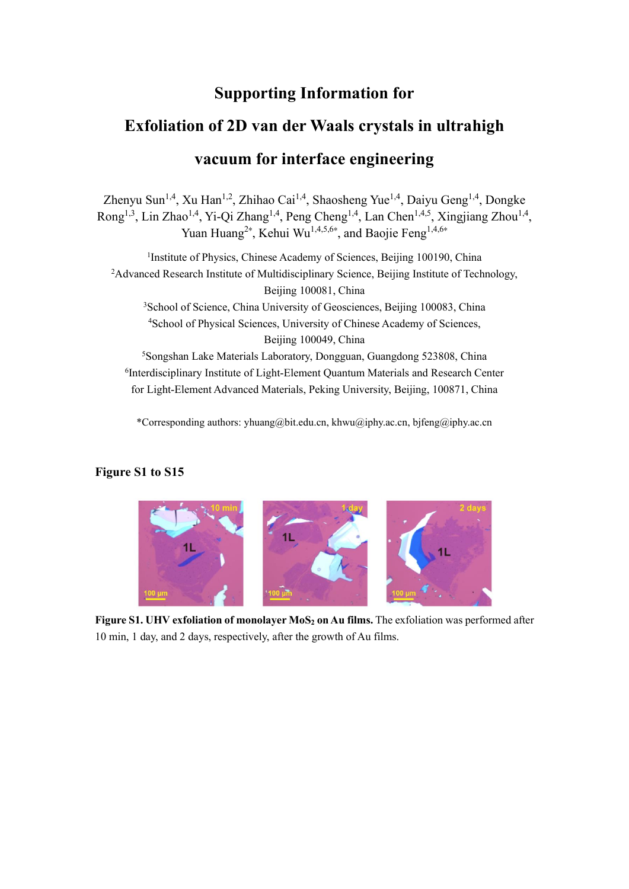## **Supporting Information for**

## **Exfoliation of 2D van der Waals crystals in ultrahigh vacuum for interface engineering**

Zhenyu Sun<sup>1,4</sup>, Xu Han<sup>1,2</sup>, Zhihao Cai<sup>1,4</sup>, Shaosheng Yue<sup>1,4</sup>, Daiyu Geng<sup>1,4</sup>, Dongke Rong<sup>1,3</sup>, Lin Zhao<sup>1,4</sup>, Yi-Qi Zhang<sup>1,4</sup>, Peng Cheng<sup>1,4</sup>, Lan Chen<sup>1,4,5</sup>, Xingjiang Zhou<sup>1,4</sup>, Yuan Huang<sup>2\*</sup>, Kehui Wu<sup>1,4,5,6\*</sup>, and Baojie Feng<sup>1,4,6\*</sup>

<sup>1</sup>Institute of Physics, Chinese Academy of Sciences, Beijing 100190, China <sup>2</sup>Advanced Research Institute of Multidisciplinary Science, Beijing Institute of Technology, Beijing 100081, China <sup>3</sup>School of Science, China University of Geosciences, Beijing 100083, China <sup>4</sup>School of Physical Sciences, University of Chinese Academy of Sciences, Beijing 100049, China <sup>5</sup>Songshan Lake Materials Laboratory, Dongguan, Guangdong 523808, China

6 Interdisciplinary Institute of Light-Element Quantum Materials and Research Center for Light-Element Advanced Materials, Peking University, Beijing, 100871, China

\*Corresponding authors: yhuang@bit.edu.cn, khwu@iphy.ac.cn, bjfeng@iphy.ac.cn

## **Figure S1 to S15**



**Figure S1. UHV exfoliation of monolayer MoS<sup>2</sup> on Au films.** The exfoliation was performed after 10 min, 1 day, and 2 days, respectively, after the growth of Au films.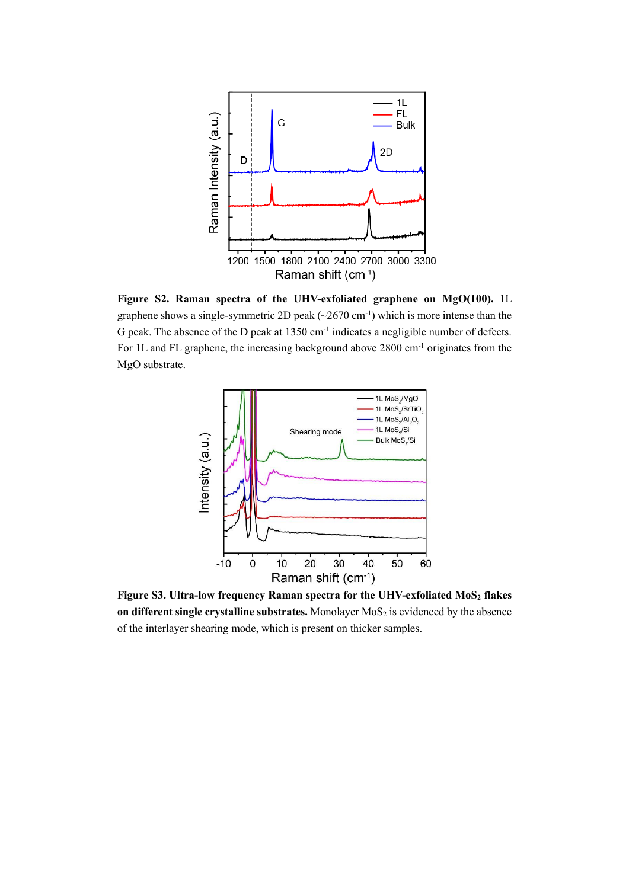

**Figure S2. Raman spectra of the UHV-exfoliated graphene on MgO(100).** 1L graphene shows a single-symmetric 2D peak  $(\sim 2670 \text{ cm}^{-1})$  which is more intense than the G peak. The absence of the D peak at  $1350 \text{ cm}^{-1}$  indicates a negligible number of defects. For 1L and FL graphene, the increasing background above 2800 cm-1 originates from the MgO substrate.



**Figure S3. Ultra-low frequency Raman spectra for the UHV-exfoliated MoS<sup>2</sup> flakes on different single crystalline substrates.** Monolayer MoS<sub>2</sub> is evidenced by the absence of the interlayer shearing mode, which is present on thicker samples.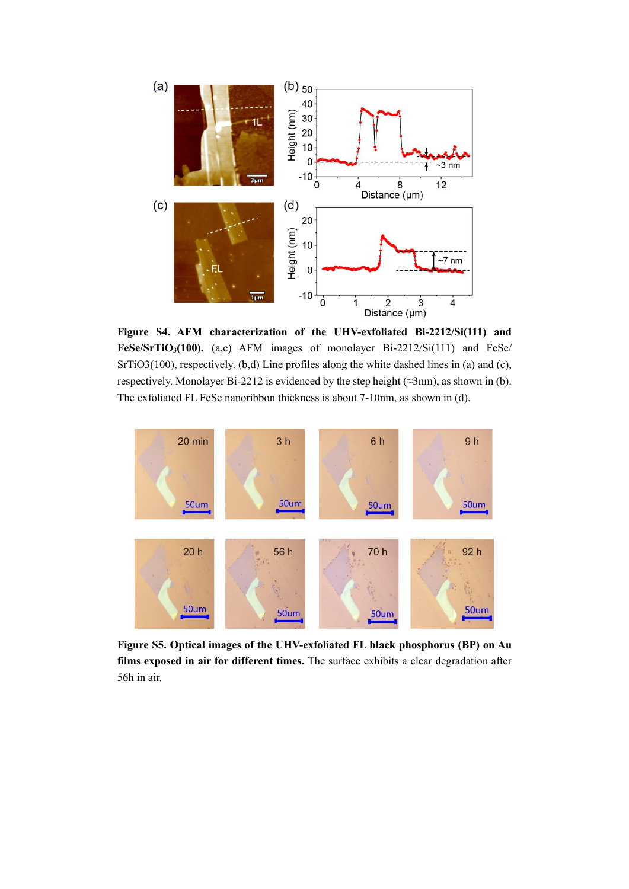

**Figure S4. AFM characterization of the UHV-exfoliated Bi-2212/Si(111) and FeSe/SrTiO3(100).** (a,c) AFM images of monolayer Bi-2212/Si(111) and FeSe/ SrTiO3(100), respectively. (b,d) Line profiles along the white dashed lines in (a) and (c), respectively. Monolayer Bi-2212 is evidenced by the step height ( $\approx 3$ nm), as shown in (b). The exfoliated FL FeSe nanoribbon thickness is about 7-10nm, as shown in (d).



**Figure S5. Optical images of the UHV-exfoliated FL black phosphorus (BP) on Au films exposed in air for different times.** The surface exhibits a clear degradation after 56h in air.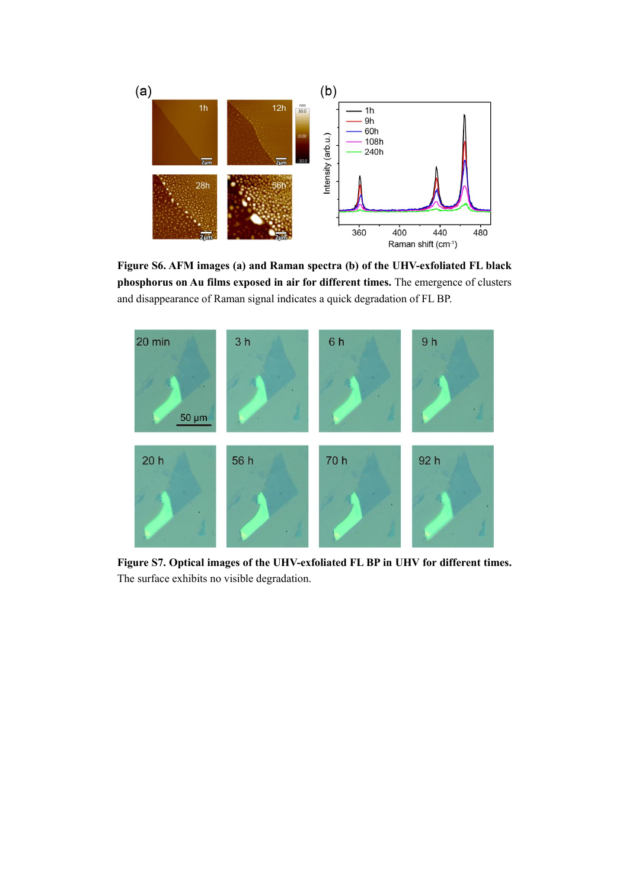

**Figure S6. AFM images (a) and Raman spectra (b) of the UHV-exfoliated FL black phosphorus on Au films exposed in air for different times.** The emergence of clusters and disappearance of Raman signal indicates a quick degradation of FL BP.



**Figure S7. Optical images of the UHV-exfoliated FL BP in UHV for different times.**  The surface exhibits no visible degradation.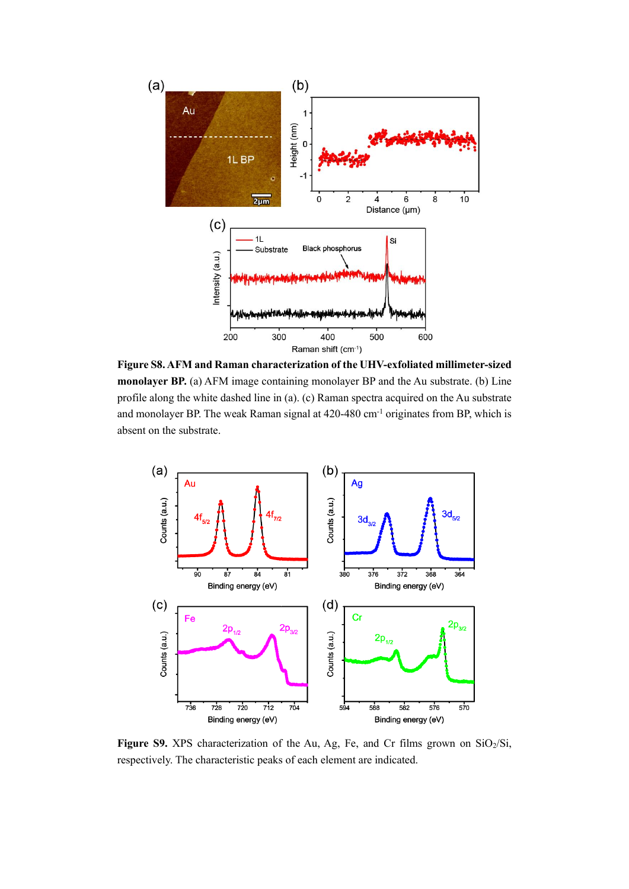

**Figure S8. AFM and Raman characterization of the UHV-exfoliated millimeter-sized monolayer BP.** (a) AFM image containing monolayer BP and the Au substrate. (b) Line profile along the white dashed line in (a). (c) Raman spectra acquired on the Au substrate and monolayer BP. The weak Raman signal at 420-480 cm-1 originates from BP, which is absent on the substrate.



Figure S9. XPS characterization of the Au, Ag, Fe, and Cr films grown on SiO<sub>2</sub>/Si, respectively. The characteristic peaks of each element are indicated.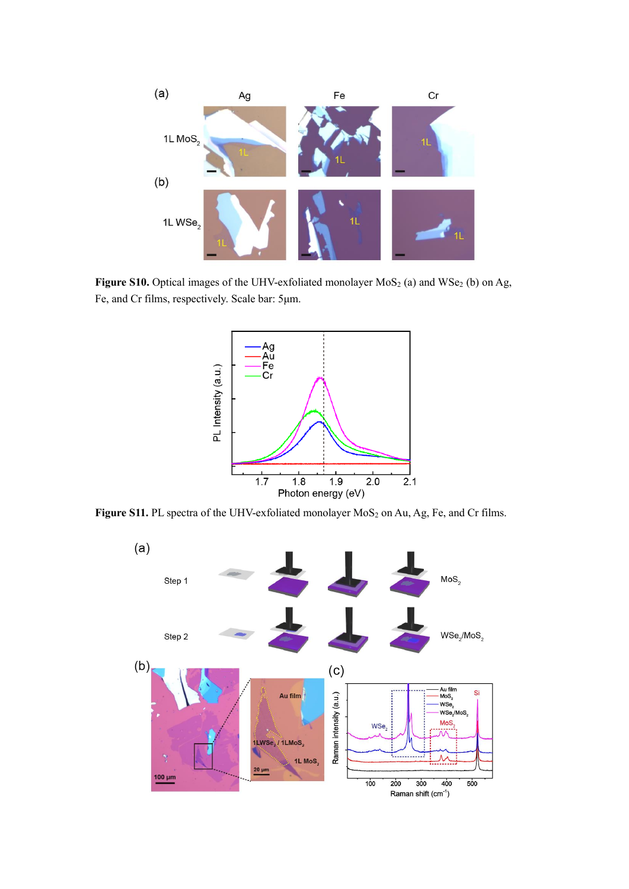

Figure S10. Optical images of the UHV-exfoliated monolayer MoS<sub>2</sub> (a) and WSe<sub>2</sub> (b) on Ag, Fe, and Cr films, respectively. Scale bar: 5μm.



Figure S11. PL spectra of the UHV-exfoliated monolayer MoS<sub>2</sub> on Au, Ag, Fe, and Cr films.

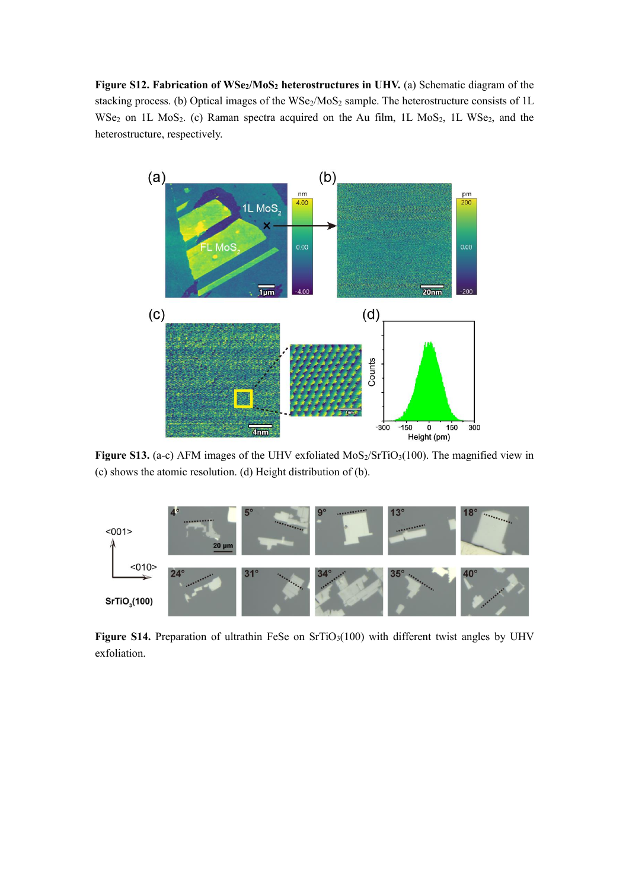**Figure S12. Fabrication of WSe2/MoS<sup>2</sup> heterostructures in UHV.** (a) Schematic diagram of the stacking process. (b) Optical images of the WSe<sub>2</sub>/MoS<sub>2</sub> sample. The heterostructure consists of 1L WSe<sub>2</sub> on 1L MoS<sub>2</sub>. (c) Raman spectra acquired on the Au film, 1L MoS<sub>2</sub>, 1L WSe<sub>2</sub>, and the heterostructure, respectively.



Figure S13. (a-c) AFM images of the UHV exfoliated MoS<sub>2</sub>/SrTiO<sub>3</sub>(100). The magnified view in (c) shows the atomic resolution. (d) Height distribution of (b).



Figure S14. Preparation of ultrathin FeSe on SrTiO<sub>3</sub>(100) with different twist angles by UHV exfoliation.